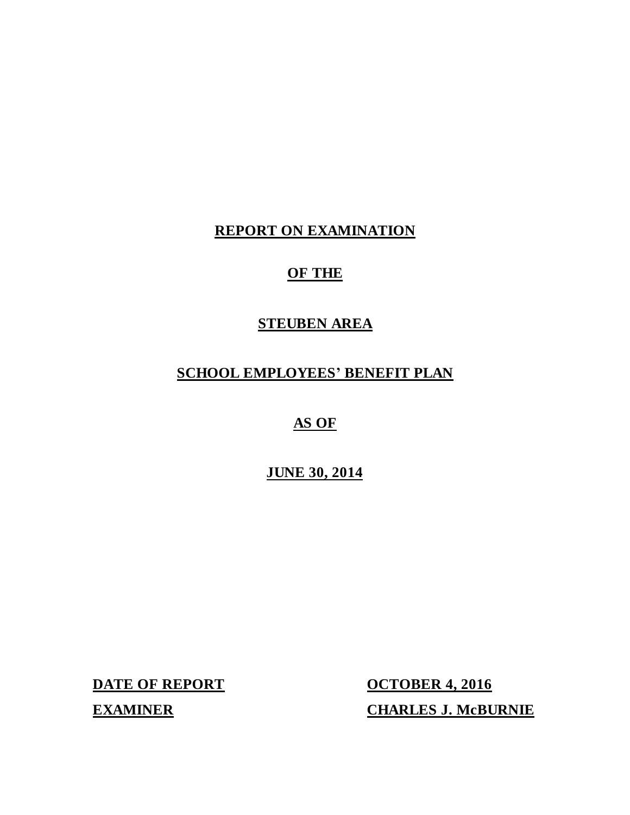# **REPORT ON EXAMINATION**

# **OF THE**

# **STEUBEN AREA**

# **SCHOOL EMPLOYEES' BENEFIT PLAN**

# **AS OF**

# **JUNE 30, 2014**

**DATE OF REPORT** 

**OCTOBER 4, 2016 EXAMINER CHARLES J. McBURNIE**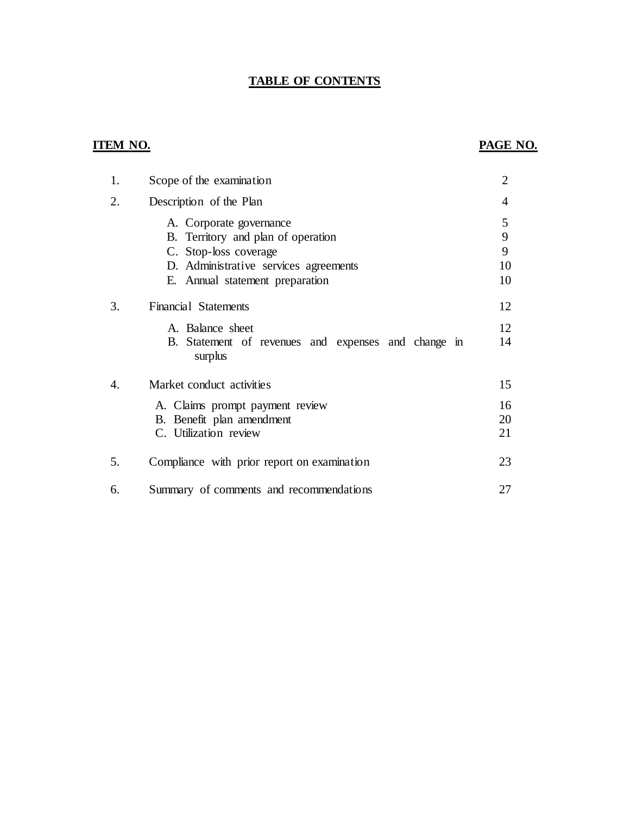### **TABLE OF CONTENTS**

## **ITEM NO. PAGE NO.**

| 1. | Scope of the examination                                                                                                                                           | $\overline{2}$          |
|----|--------------------------------------------------------------------------------------------------------------------------------------------------------------------|-------------------------|
| 2. | Description of the Plan                                                                                                                                            | 4                       |
|    | A. Corporate governance<br>B. Territory and plan of operation<br>C. Stop-loss coverage<br>D. Administrative services agreements<br>E. Annual statement preparation | 5<br>9<br>9<br>10<br>10 |
| 3. | <b>Financial Statements</b><br>A. Balance sheet<br>B. Statement of revenues and expenses and change in                                                             | 12<br>12<br>14          |
|    | surplus                                                                                                                                                            |                         |
| 4. | Market conduct activities                                                                                                                                          | 15                      |
|    | A. Claims prompt payment review<br>B. Benefit plan amendment<br>C. Utilization review                                                                              | 16<br>20<br>21          |
| 5. | Compliance with prior report on examination                                                                                                                        | 23                      |
| 6. | Summary of comments and recommendations                                                                                                                            | 27                      |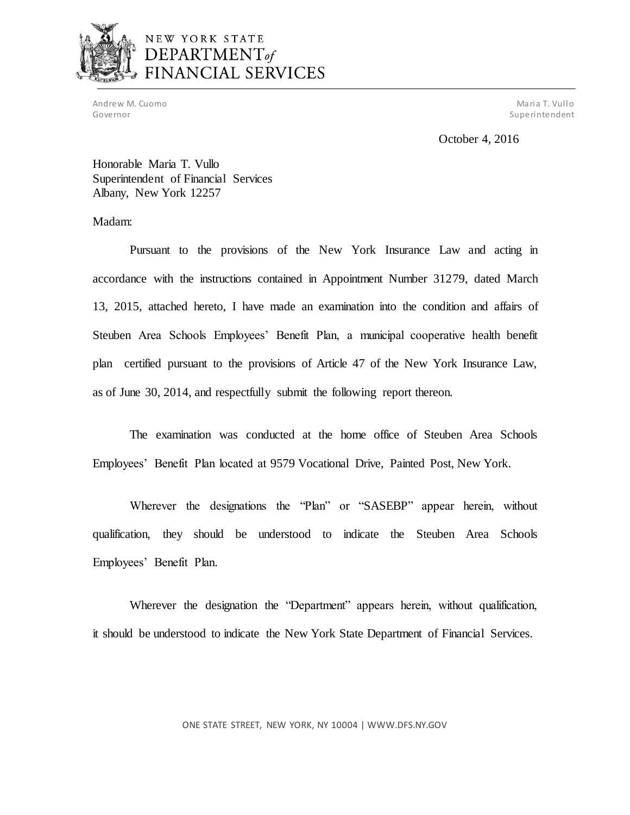

# NEW YORK STATE DEPARTMENT of FINANCIAL SERVICES

Andrew M. Cuomo Maria T. Vullo (1999) and the control of the control of the control of the control of the control of the control of the control of the control of the control of the control of the control of the control of Governor Superintendent Superintendent Superintendent Superintendent Superintendent Superintendent Superintendent

October 4, 2016

 Honorable Maria T. Vullo Superintendent of Financial Services Albany, New York 12257

Madam:

 Pursuant to the provisions of the New York Insurance Law and acting in accordance with the instructions contained in Appointment Number 31279, dated March 13, 2015, attached hereto, I have made an examination into the condition and affairs of Steuben Area Schools Employees' Benefit Plan, a municipal cooperative health benefit plan certified pursuant to the provisions of Article 47 of the New York Insurance Law, as of June 30, 2014, and respectfully submit the following report thereon.

 The examination was conducted at the home office of Steuben Area Schools Employees' Benefit Plan located at 9579 Vocational Drive, Painted Post, New York.

 Wherever the designations the "Plan" or "SASEBP" appear herein, without qualification, they should be understood to indicate the Steuben Area Schools Employees' Benefit Plan.

 Wherever the designation the "Department" appears herein, without qualification, it should be understood to indicate the New York State Department of Financial Services.

ONE STATE STREET, NEW YORK, NY 10004 |<WWW.DFS.NY.GOV>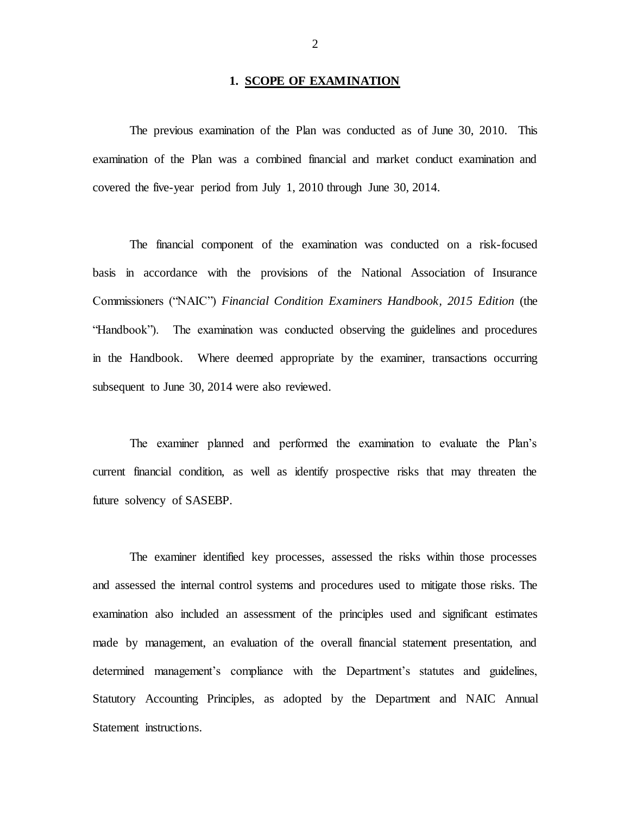### **1. SCOPE OF EXAMINATION**

 The previous examination of the Plan was conducted as of June 30, 2010. This examination of the Plan was a combined financial and market conduct examination and covered the five-year period from July 1, 2010 through June 30, 2014.

 The financial component of the examination was conducted on a risk-focused basis in accordance with the provisions of the National Association of Insurance Commissioners ("NAIC") *Financial Condition Examiners Handbook, 2015 Edition* (the "Handbook"). The examination was conducted observing the guidelines and procedures in the Handbook. Where deemed appropriate by the examiner, transactions occurring subsequent to June 30, 2014 were also reviewed.

 The examiner planned and performed the examination to evaluate the Plan's current financial condition, as well as identify prospective risks that may threaten the future solvency of SASEBP.

 The examiner identified key processes, assessed the risks within those processes and assessed the internal control systems and procedures used to mitigate those risks. The examination also included an assessment of the principles used and significant estimates made by management, an evaluation of the overall financial statement presentation, and determined management's compliance with the Department's statutes and guidelines, Statutory Accounting Principles, as adopted by the Department and NAIC Annual Statement instructions.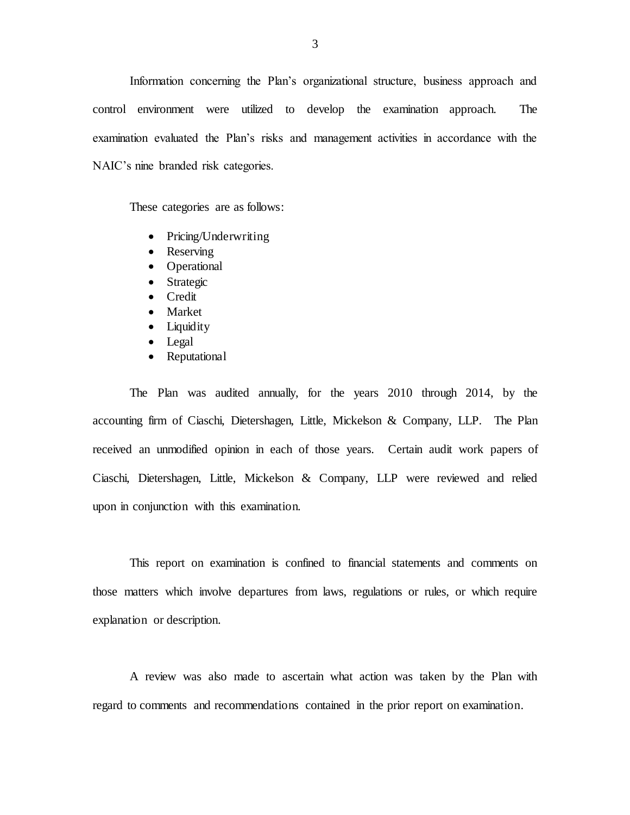Information concerning the Plan's organizational structure, business approach and control environment were utilized to develop the examination approach. The examination evaluated the Plan's risks and management activities in accordance with the NAIC's nine branded risk categories.

These categories are as follows:

- Pricing/Underwriting
- Reserving
- Operational
- Strategic
- **•** Credit
- Market
- Liquidity
- Legal
- Reputational

 The Plan was audited annually, for the years 2010 through 2014, by the accounting firm of Ciaschi, Dietershagen, Little, Mickelson & Company, LLP. The Plan received an unmodified opinion in each of those years. Certain audit work papers of Ciaschi, Dietershagen, Little, Mickelson & Company, LLP were reviewed and relied upon in conjunction with this examination.

 This report on examination is confined to financial statements and comments on those matters which involve departures from laws, regulations or rules, or which require explanation or description.

 A review was also made to ascertain what action was taken by the Plan with regard to comments and recommendations contained in the prior report on examination.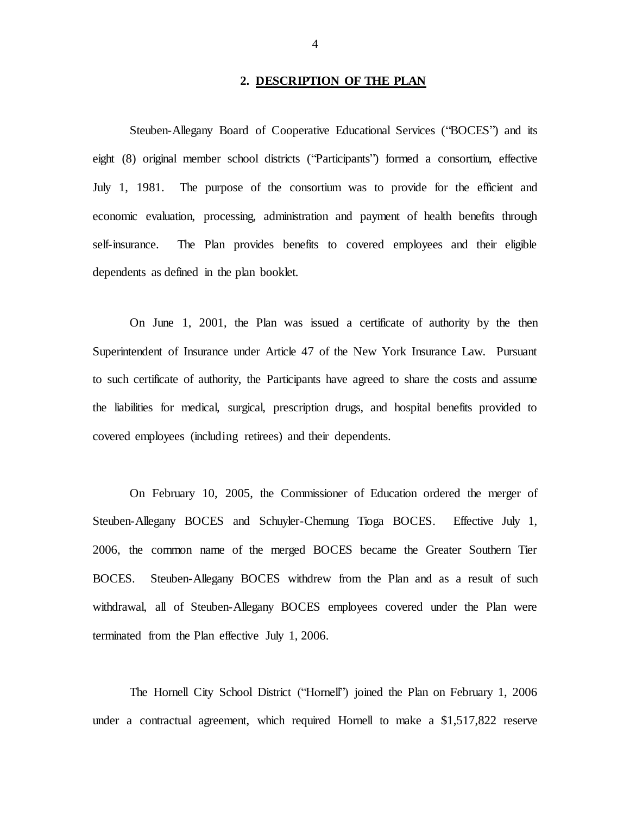### **2. DESCRIPTION OF THE PLAN**

<span id="page-5-0"></span> Steuben-Allegany Board of Cooperative Educational Services ("BOCES") and its eight (8) original member school districts ("Participants") formed a consortium, effective July 1, 1981. The purpose of the consortium was to provide for the efficient and economic evaluation, processing, administration and payment of health benefits through dependents as defined in the plan booklet. self-insurance. The Plan provides benefits to covered employees and their eligible

 On June 1, 2001, the Plan was issued a certificate of authority by the then Superintendent of Insurance under Article 47 of the New York Insurance Law. Pursuant to such certificate of authority, the Participants have agreed to share the costs and assume the liabilities for medical, surgical, prescription drugs, and hospital benefits provided to covered employees (including retirees) and their dependents.

 On February 10, 2005, the Commissioner of Education ordered the merger of Steuben-Allegany BOCES and Schuyler-Chemung Tioga BOCES. Effective July 1, 2006, the common name of the merged BOCES became the Greater Southern Tier BOCES. Steuben-Allegany BOCES withdrew from the Plan and as a result of such withdrawal, all of Steuben-Allegany BOCES employees covered under the Plan were terminated from the Plan effective July 1, 2006.

 The Hornell City School District ("Hornell") joined the Plan on February 1, 2006 under a contractual agreement, which required Hornell to make a \$1,517,822 reserve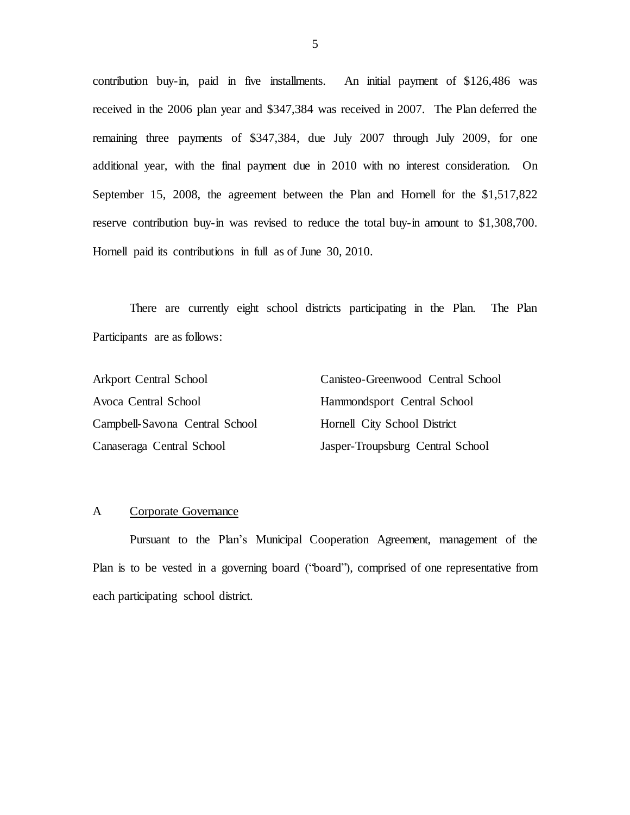contribution buy-in, paid in five installments. An initial payment of \$126,486 was received in the 2006 plan year and \$347,384 was received in 2007. The Plan deferred the remaining three payments of \$347,384, due July 2007 through July 2009, for one additional year, with the final payment due in 2010 with no interest consideration. On September 15, 2008, the agreement between the Plan and Hornell for the \$1,517,822 reserve contribution buy-in was revised to reduce the total buy-in amount to \$1,308,700. Hornell paid its contributions in full as of June 30, 2010.

 There are currently eight school districts participating in the Plan. The Plan Participants are as follows:

| <b>Arkport Central School</b>  | Canisteo-Greenwood Central School |
|--------------------------------|-----------------------------------|
| Avoca Central School           | Hammondsport Central School       |
| Campbell-Savona Central School | Hornell City School District      |
| Canaseraga Central School      | Jasper-Troupsburg Central School  |

### A Corporate Governance

 Pursuant to the Plan's Municipal Cooperation Agreement, management of the Plan is to be vested in a governing board ("board"), comprised of one representative from each participating school district.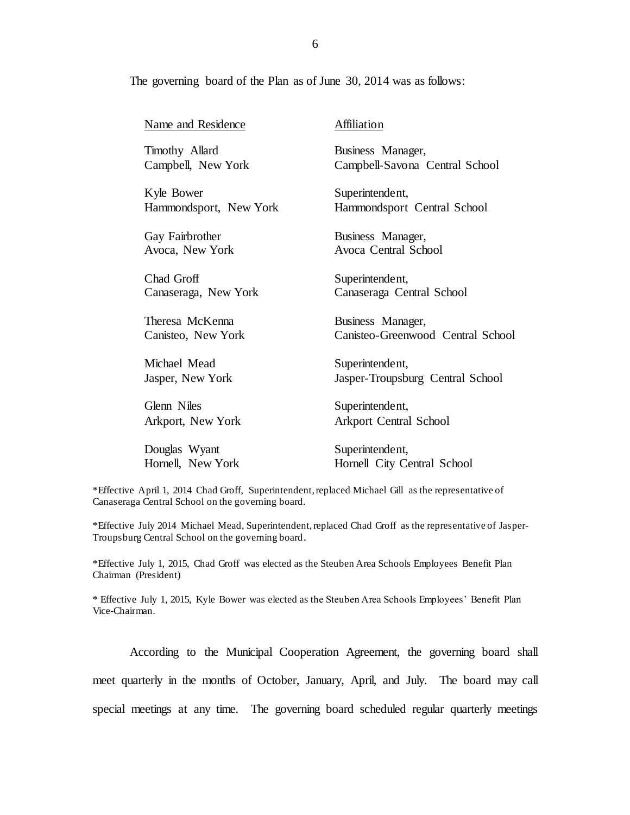The governing board of the Plan as of June 30, 2014 was as follows:

| Name and Residence     | Affiliation                       |
|------------------------|-----------------------------------|
| Timothy Allard         | Business Manager,                 |
| Campbell, New York     | Campbell-Savona Central School    |
| Kyle Bower             | Superintendent,                   |
| Hammondsport, New York | Hammondsport Central School       |
| Gay Fairbrother        | Business Manager,                 |
| Avoca, New York        | Avoca Central School              |
| Chad Groff             | Superintendent,                   |
| Canaseraga, New York   | Canaseraga Central School         |
| Theresa McKenna        | Business Manager,                 |
| Canisteo, New York     | Canisteo-Greenwood Central School |
| Michael Mead           | Superintendent,                   |
| Jasper, New York       | Jasper-Troupsburg Central School  |
| Glenn Niles            | Superintendent,                   |
| Arkport, New York      | <b>Arkport Central School</b>     |
| Douglas Wyant          | Superintendent,                   |
| Hornell, New York      | Hornell City Central School       |

 \*Effective April 1, 2014 Chad Groff, Superintendent, replaced Michael Gill as the representative of Canaseraga Central School on the governing board.

 \*Effective July 2014 Michael Mead, Superintendent, replaced Chad Groff as the representative of Jasper-Troupsburg Central School on the governing board.

 \*Effective July 1, 2015, Chad Groff was elected as the Steuben Area Schools Employees Benefit Plan Chairman (President)

 \* Effective July 1, 2015, Kyle Bower was elected as the Steuben Area Schools Employees' Benefit Plan Vice-Chairman.

 According to the Municipal Cooperation Agreement, the governing board shall meet quarterly in the months of October, January, April, and July. The board may call special meetings at any time. The governing board scheduled regular quarterly meetings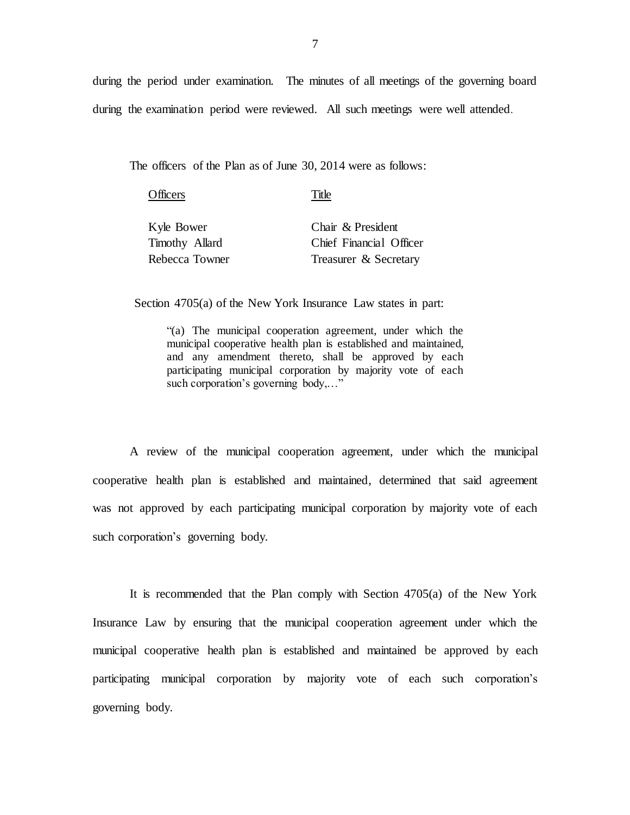during the period under examination. The minutes of all meetings of the governing board during the examination period were reviewed. All such meetings were well attended.

The officers of the Plan as of June 30, 2014 were as follows:

| Officers       | Title                   |
|----------------|-------------------------|
| Kyle Bower     | Chair & President       |
| Timothy Allard | Chief Financial Officer |
| Rebecca Towner | Treasurer & Secretary   |

Section 4705(a) of the New York Insurance Law states in part:

 "(a) The municipal cooperation agreement, under which the municipal cooperative health plan is established and maintained, and any amendment thereto, shall be approved by each participating municipal corporation by majority vote of each such corporation's governing body,..."

 A review of the municipal cooperation agreement, under which the municipal cooperative health plan is established and maintained, determined that said agreement was not approved by each participating municipal corporation by majority vote of each such corporation's governing body.

 It is recommended that the Plan comply with Section 4705(a) of the New York Insurance Law by ensuring that the municipal cooperation agreement under which the municipal cooperative health plan is established and maintained be approved by each participating municipal corporation by majority vote of each such corporation's governing body.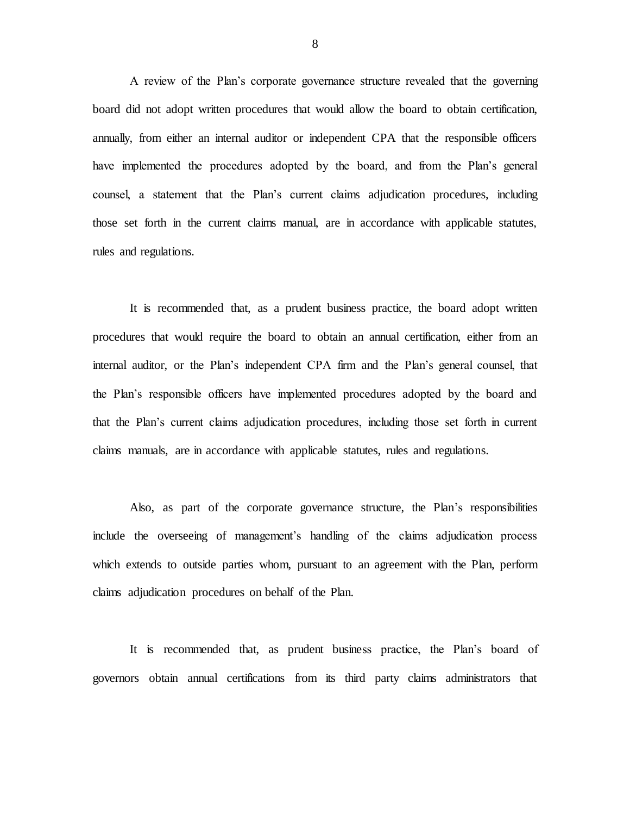A review of the Plan's corporate governance structure revealed that the governing board did not adopt written procedures that would allow the board to obtain certification, annually, from either an internal auditor or independent CPA that the responsible officers have implemented the procedures adopted by the board, and from the Plan's general counsel, a statement that the Plan's current claims adjudication procedures, including those set forth in the current claims manual, are in accordance with applicable statutes, rules and regulations.

 It is recommended that, as a prudent business practice, the board adopt written procedures that would require the board to obtain an annual certification, either from an internal auditor, or the Plan's independent CPA firm and the Plan's general counsel, that the Plan's responsible officers have implemented procedures adopted by the board and that the Plan's current claims adjudication procedures, including those set forth in current claims manuals, are in accordance with applicable statutes, rules and regulations.

 Also, as part of the corporate governance structure, the Plan's responsibilities include the overseeing of management's handling of the claims adjudication process which extends to outside parties whom, pursuant to an agreement with the Plan, perform claims adjudication procedures on behalf of the Plan.

 It is recommended that, as prudent business practice, the Plan's board of governors obtain annual certifications from its third party claims administrators that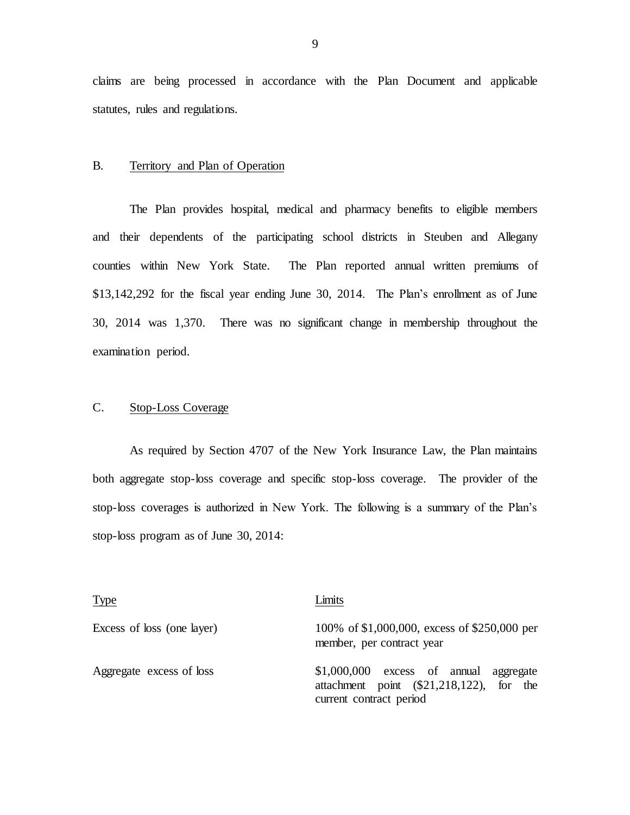<span id="page-10-0"></span> claims are being processed in accordance with the Plan Document and applicable statutes, rules and regulations.

### B. Territory and Plan of Operation

 The Plan provides hospital, medical and pharmacy benefits to eligible members and their dependents of the participating school districts in Steuben and Allegany counties within New York State. \$13,142,292 for the fiscal year ending June 30, 2014. The Plan's enrollment as of June 30, 2014 was 1,370. There was no significant change in membership throughout the examination period. The Plan reported annual written premiums of

### $C<sub>1</sub>$ Stop-Loss Coverage

 As required by Section 4707 of the New York Insurance Law, the Plan maintains both aggregate stop-loss coverage and specific stop-loss coverage. The provider of the stop-loss coverages is authorized in New York. The following is a summary of the Plan's stop-loss program as of June 30, 2014:

| <b>Type</b>                | Limits                                                                                                               |
|----------------------------|----------------------------------------------------------------------------------------------------------------------|
| Excess of loss (one layer) | 100% of \$1,000,000, excess of \$250,000 per<br>member, per contract year                                            |
| Aggregate excess of loss   | $$1,000,000$ excess of annual<br>aggregate<br>attachment point $(\$21,218,122)$ , for the<br>current contract period |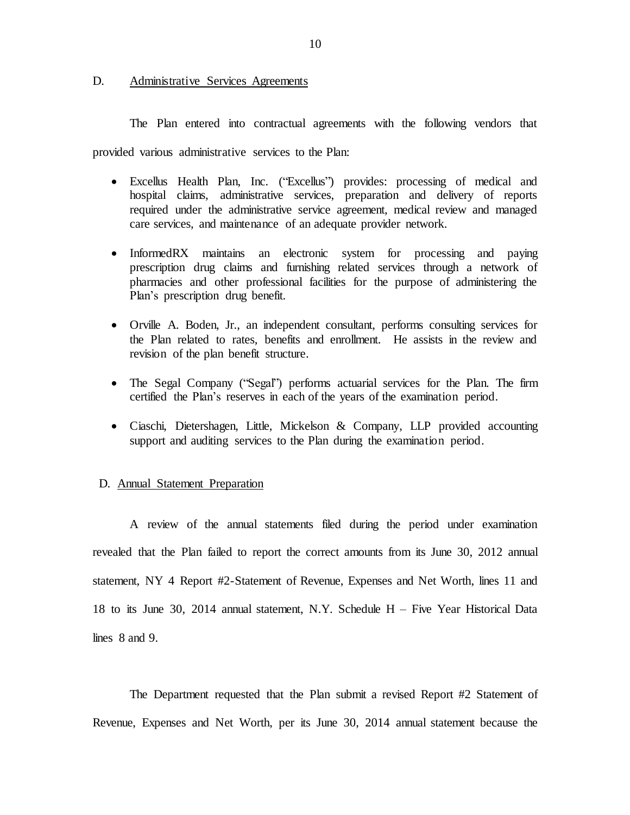### <span id="page-11-0"></span>D. Administrative Services Agreements

The Plan entered into contractual agreements with the following vendors that

provided various administrative services to the Plan:

- Excellus Health Plan, Inc. ("Excellus") provides: processing of medical and hospital claims, administrative services, preparation and delivery of reports required under the administrative service agreement, medical review and managed care services, and maintenance of an adequate provider network.
- InformedRX maintains an electronic system for processing and paying prescription drug claims and furnishing related services through a network of pharmacies and other professional facilities for the purpose of administering the Plan's prescription drug benefit.
- Orville A. Boden, Jr., an independent consultant, performs consulting services for the Plan related to rates, benefits and enrollment. He assists in the review and revision of the plan benefit structure.
- The Segal Company ("Segal") performs actuarial services for the Plan. The firm certified the Plan's reserves in each of the years of the examination period.
- Ciaschi, Dietershagen, Little, Mickelson & Company, LLP provided accounting support and auditing services to the Plan during the examination period.

### D. **Annual Statement Preparation**

 A review of the annual statements filed during the period under examination revealed that the Plan failed to report the correct amounts from its June 30, 2012 annual statement, NY 4 Report #2-Statement of Revenue, Expenses and Net Worth, lines 11 and 18 to its June 30, 2014 annual statement, N.Y. Schedule H – Five Year Historical Data lines 8 and 9.

 The Department requested that the Plan submit a revised Report #2 Statement of Revenue, Expenses and Net Worth, per its June 30, 2014 annual statement because the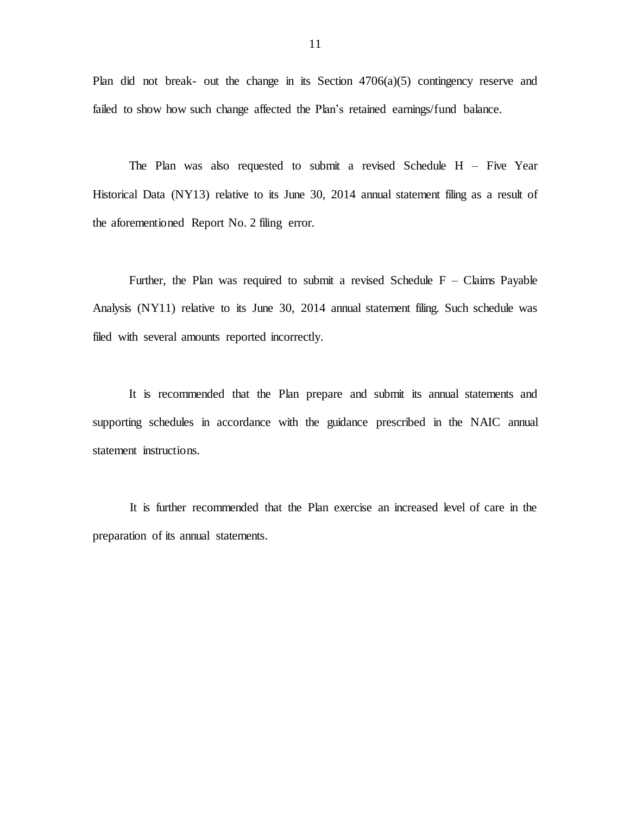Plan did not break- out the change in its Section 4706(a)(5) contingency reserve and failed to show how such change affected the Plan's retained earnings/fund balance.

 The Plan was also requested to submit a revised Schedule H – Five Year Historical Data (NY13) relative to its June 30, 2014 annual statement filing as a result of the aforementioned Report No. 2 filing error.

Further, the Plan was required to submit a revised Schedule  $F - Clains$  Payable Analysis (NY11) relative to its June 30, 2014 annual statement filing. Such schedule was filed with several amounts reported incorrectly.

 It is recommended that the Plan prepare and submit its annual statements and supporting schedules in accordance with the guidance prescribed in the NAIC annual statement instructions.

 It is further recommended that the Plan exercise an increased level of care in the preparation of its annual statements.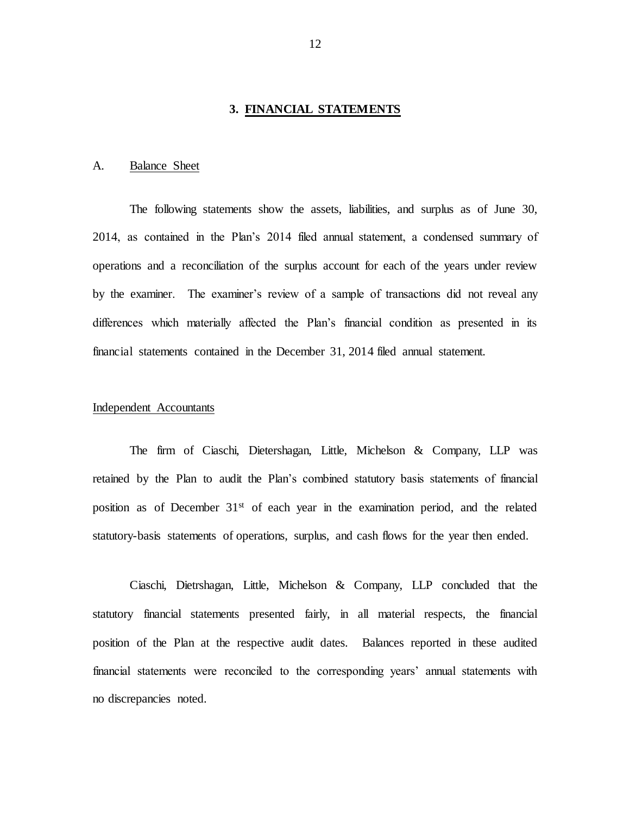### **3. FINANCIAL STATEMENTS**

### <span id="page-13-0"></span>A. Balance Sheet

 The following statements show the assets, liabilities, and surplus as of June 30, 2014, as contained in the Plan's 2014 filed annual statement, a condensed summary of operations and a reconciliation of the surplus account for each of the years under review by the examiner. The examiner's review of a sample of transactions did not reveal any differences which materially affected the Plan's financial condition as presented in its financial statements contained in the December 31, 2014 filed annual statement.

### Independent Accountants

 The firm of Ciaschi, Dietershagan, Little, Michelson & Company, LLP was retained by the Plan to audit the Plan's combined statutory basis statements of financial position as of December 31<sup>st</sup> of each year in the examination period, and the related statutory-basis statements of operations, surplus, and cash flows for the year then ended.

 Ciaschi, Dietrshagan, Little, Michelson & Company, LLP concluded that the statutory financial statements presented fairly, in all material respects, the financial position of the Plan at the respective audit dates. Balances reported in these audited financial statements were reconciled to the corresponding years' annual statements with no discrepancies noted.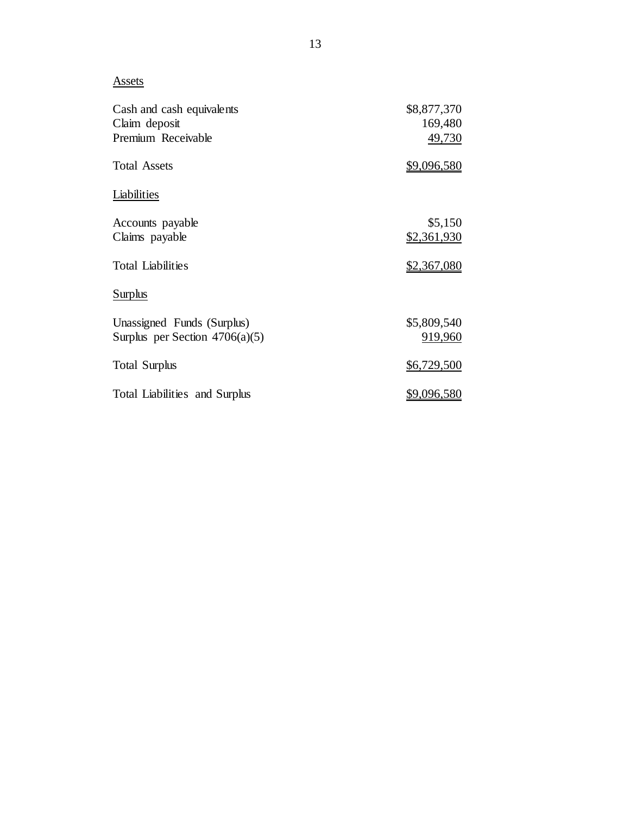Assets

| Cash and cash equivalents        | \$8,877,370        |
|----------------------------------|--------------------|
| Claim deposit                    | 169,480            |
| Premium Receivable               | 49,730             |
| <b>Total Assets</b>              | \$9,096,580        |
| Liabilities                      |                    |
| Accounts payable                 | \$5,150            |
| Claims payable                   | \$2,361,930        |
| <b>Total Liabilities</b>         | <u>\$2,367,080</u> |
| Surplus                          |                    |
| Unassigned Funds (Surplus)       | \$5,809,540        |
| Surplus per Section $4706(a)(5)$ | 919,960            |
| <b>Total Surplus</b>             | \$6,729,500        |
| Total Liabilities and Surplus    | <u>\$9,096,580</u> |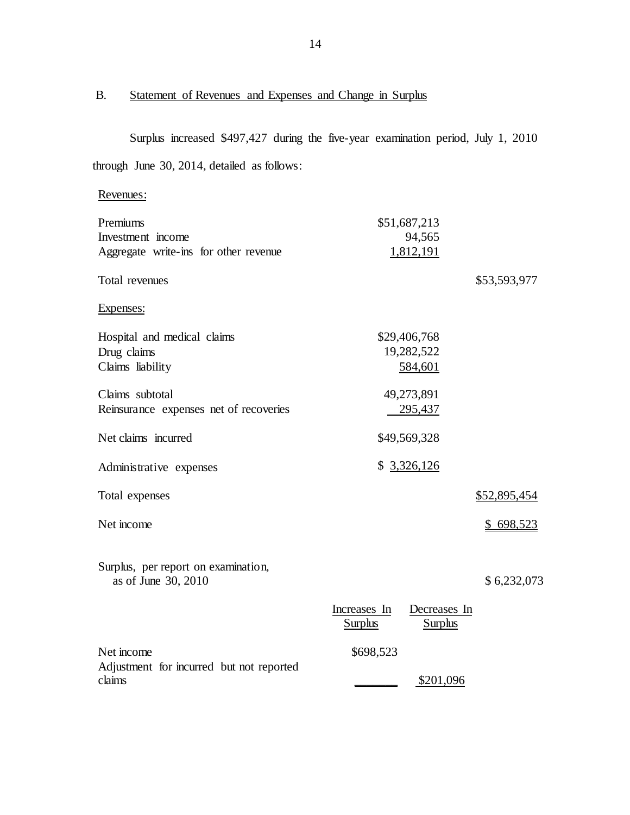### $B.$ Statement of Revenues and Expenses and Change in Surplus

 Surplus increased \$497,427 during the five-year examination period, July 1, 2010 through June 30, 2014, detailed as follows:

# Revenues:

| Premiums<br>Investment income                              |                                | \$51,687,213<br>94,565         |               |
|------------------------------------------------------------|--------------------------------|--------------------------------|---------------|
| Aggregate write-ins for other revenue                      |                                | 1,812,191                      |               |
| Total revenues                                             |                                |                                | \$53,593,977  |
| Expenses:                                                  |                                |                                |               |
| Hospital and medical claims<br>Drug claims                 |                                | \$29,406,768<br>19,282,522     |               |
| Claims liability                                           |                                | 584,601                        |               |
| Claims subtotal<br>Reinsurance expenses net of recoveries  |                                | 49,273,891<br>295,437          |               |
| Net claims incurred                                        |                                | \$49,569,328                   |               |
| Administrative expenses                                    |                                | \$3,326,126                    |               |
| Total expenses                                             |                                |                                | \$52,895,454  |
| Net income                                                 |                                |                                | \$<br>698,523 |
| Surplus, per report on examination,<br>as of June 30, 2010 |                                |                                | \$6,232,073   |
|                                                            | Increases In<br><u>Surplus</u> | Decreases In<br><b>Surplus</b> |               |
| Net income                                                 | \$698,523                      |                                |               |
| Adjustment for incurred but not reported<br>claims         |                                | \$201,096                      |               |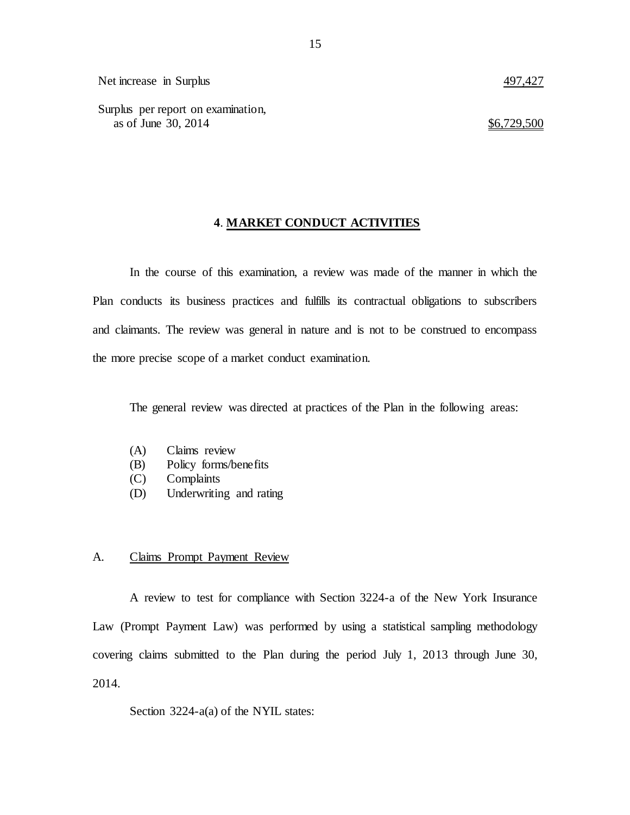Surplus per report on examination, as of June 30, 2014  $\frac{$6,729,500}{20}$ 

### **4**. **MARKET CONDUCT ACTIVITIES**

 In the course of this examination, a review was made of the manner in which the Plan conducts its business practices and fulfills its contractual obligations to subscribers and claimants. The review was general in nature and is not to be construed to encompass the more precise scope of a market conduct examination.

The general review was directed at practices of the Plan in the following areas:

- $(A)$ Claims review
- (B) Policy forms/benefits
- (C) Complaints
- (D) Underwriting and rating

### $A_{\cdot}$ Claims Prompt Payment Review

 A review to test for compliance with Section 3224-a of the New York Insurance Law (Prompt Payment Law) was performed by using a statistical sampling methodology covering claims submitted to the Plan during the period July 1, 2013 through June 30, 2014.

Section 3224-a(a) of the NYIL states: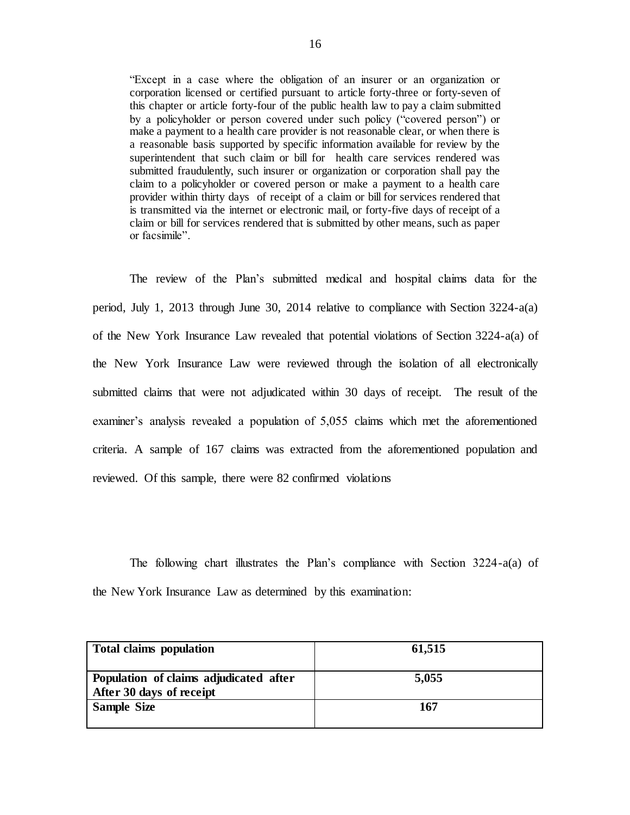"Except in a case where the obligation of an insurer or an organization or corporation licensed or certified pursuant to article forty-three or forty-seven of this chapter or article forty-four of the public health law to pay a claim submitted by a policyholder or person covered under such policy ("covered person") or make a payment to a health care provider is not reasonable clear, or when there is a reasonable basis supported by specific information available for review by the superintendent that such claim or bill for health care services rendered was submitted fraudulently, such insurer or organization or corporation shall pay the claim to a policyholder or covered person or make a payment to a health care provider within thirty days of receipt of a claim or bill for services rendered that is transmitted via the internet or electronic mail, or forty-five days of receipt of a claim or bill for services rendered that is submitted by other means, such as paper or facsimile".

 The review of the Plan's submitted medical and hospital claims data for the period, July 1, 2013 through June 30, 2014 relative to compliance with Section 3224-a(a) of the New York Insurance Law revealed that potential violations of Section 3224-a(a) of the New York Insurance Law were reviewed through the isolation of all electronically submitted claims that were not adjudicated within 30 days of receipt. The result of the examiner's analysis revealed a population of 5,055 claims which met the aforementioned criteria. A sample of 167 claims was extracted from the aforementioned population and reviewed. Of this sample, there were 82 confirmed violations

 The following chart illustrates the Plan's compliance with Section 3224-a(a) of the New York Insurance Law as determined by this examination:

| <b>Total claims population</b>                                     | 61,515 |
|--------------------------------------------------------------------|--------|
| Population of claims adjudicated after<br>After 30 days of receipt | 5,055  |
| <b>Sample Size</b>                                                 | 167    |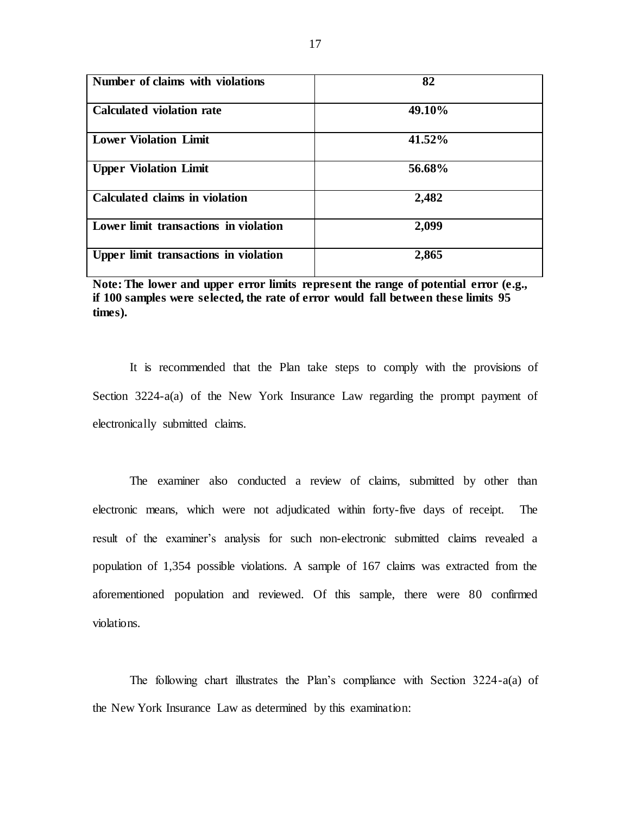| Number of claims with violations      | 82     |
|---------------------------------------|--------|
| <b>Calculated violation rate</b>      | 49.10% |
| <b>Lower Violation Limit</b>          | 41.52% |
| <b>Upper Violation Limit</b>          | 56.68% |
| Calculated claims in violation        | 2,482  |
| Lower limit transactions in violation | 2,099  |
| Upper limit transactions in violation | 2,865  |

 **Note: The lower and upper error limits represent the range of potential error (e.g., if 100 samples were selected, the rate of error would fall between these limits 95 times).** 

 It is recommended that the Plan take steps to comply with the provisions of Section 3224-a(a) of the New York Insurance Law regarding the prompt payment of electronically submitted claims.

 The examiner also conducted a review of claims, submitted by other than electronic means, which were not adjudicated within forty-five days of receipt. The result of the examiner's analysis for such non-electronic submitted claims revealed a population of 1,354 possible violations. A sample of 167 claims was extracted from the aforementioned population and reviewed. Of this sample, there were 80 confirmed violations.

 The following chart illustrates the Plan's compliance with Section 3224-a(a) of the New York Insurance Law as determined by this examination: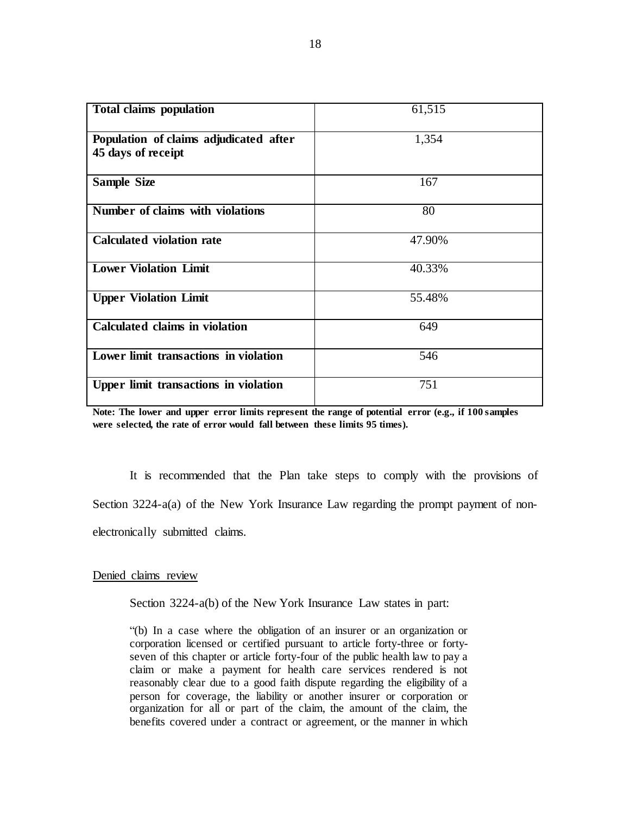| <b>Total claims population</b>                               | 61,515 |
|--------------------------------------------------------------|--------|
| Population of claims adjudicated after<br>45 days of receipt | 1,354  |
| <b>Sample Size</b>                                           | 167    |
| Number of claims with violations                             | 80     |
| <b>Calculated violation rate</b>                             | 47.90% |
| <b>Lower Violation Limit</b>                                 | 40.33% |
| <b>Upper Violation Limit</b>                                 | 55.48% |
| <b>Calculated claims in violation</b>                        | 649    |
| Lower limit transactions in violation                        | 546    |
| Upper limit transactions in violation                        | 751    |

 **Note: The lower and upper error limits represent the range of potential error (e.g., if 100 samples were selected, the rate of error would fall between these limits 95 times).** 

 It is recommended that the Plan take steps to comply with the provisions of Section 3224-a(a) of the New York Insurance Law regarding the prompt payment of nonelectronically submitted claims.

### Denied claims review

Section 3224-a(b) of the New York Insurance Law states in part:

 "(b) In a case where the obligation of an insurer or an organization or corporation licensed or certified pursuant to article forty-three or forty- seven of this chapter or article forty-four of the public health law to pay a claim or make a payment for health care services rendered is not reasonably clear due to a good faith dispute regarding the eligibility of a person for coverage, the liability or another insurer or corporation or organization for all or part of the claim, the amount of the claim, the benefits covered under a contract or agreement, or the manner in which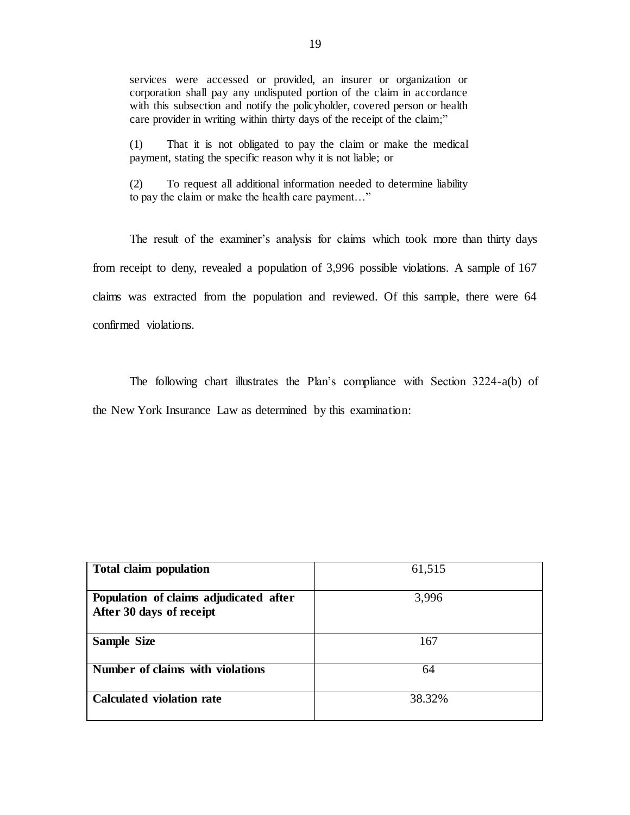services were accessed or provided, an insurer or organization or corporation shall pay any undisputed portion of the claim in accordance with this subsection and notify the policyholder, covered person or health care provider in writing within thirty days of the receipt of the claim;"

 (1) That it is not obligated to pay the claim or make the medical payment, stating the specific reason why it is not liable; or

 (2) To request all additional information needed to determine liability to pay the claim or make the health care payment…"

 The result of the examiner's analysis for claims which took more than thirty days from receipt to deny, revealed a population of 3,996 possible violations. A sample of 167 claims was extracted from the population and reviewed. Of this sample, there were 64 confirmed violations.

 The following chart illustrates the Plan's compliance with Section 3224-a(b) of the New York Insurance Law as determined by this examination:

| <b>Total claim population</b>                                      | 61,515 |
|--------------------------------------------------------------------|--------|
| Population of claims adjudicated after<br>After 30 days of receipt | 3,996  |
| <b>Sample Size</b>                                                 | 167    |
| Number of claims with violations                                   | 64     |
| <b>Calculated violation rate</b>                                   | 38.32% |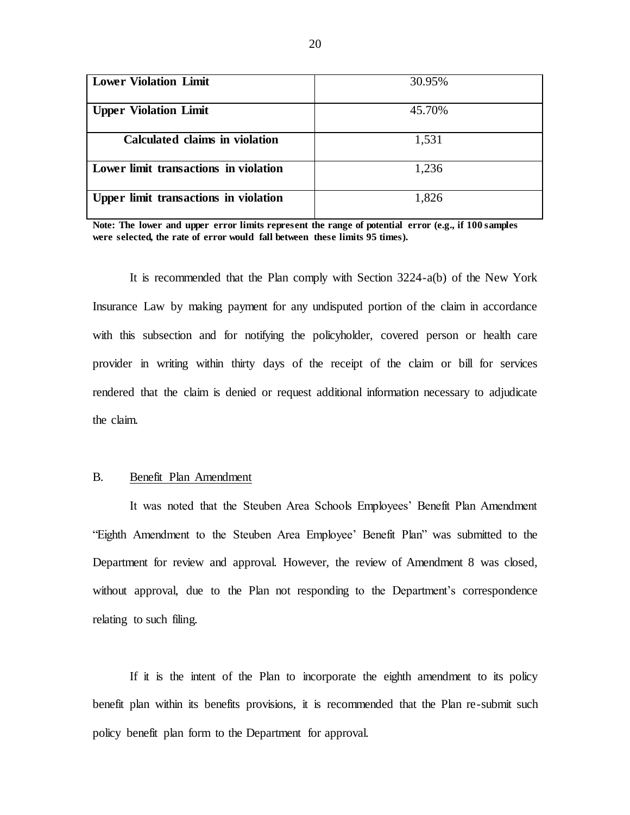| <b>Lower Violation Limit</b>          | 30.95% |
|---------------------------------------|--------|
| <b>Upper Violation Limit</b>          | 45.70% |
| <b>Calculated claims in violation</b> | 1,531  |
| Lower limit transactions in violation | 1,236  |
| Upper limit transactions in violation | 1,826  |

 **Note: The lower and upper error limits represent the range of potential error (e.g., if 100 samples were selected, the rate of error would fall between these limits 95 times).** 

 It is recommended that the Plan comply with Section 3224-a(b) of the New York Insurance Law by making payment for any undisputed portion of the claim in accordance with this subsection and for notifying the policyholder, covered person or health care provider in writing within thirty days of the receipt of the claim or bill for services rendered that the claim is denied or request additional information necessary to adjudicate the claim.

### $B<sub>1</sub>$ Benefit Plan Amendment

 It was noted that the Steuben Area Schools Employees' Benefit Plan Amendment "Eighth Amendment to the Steuben Area Employee' Benefit Plan" was submitted to the Department for review and approval. However, the review of Amendment 8 was closed, without approval, due to the Plan not responding to the Department's correspondence relating to such filing.

 If it is the intent of the Plan to incorporate the eighth amendment to its policy benefit plan within its benefits provisions, it is recommended that the Plan re-submit such policy benefit plan form to the Department for approval.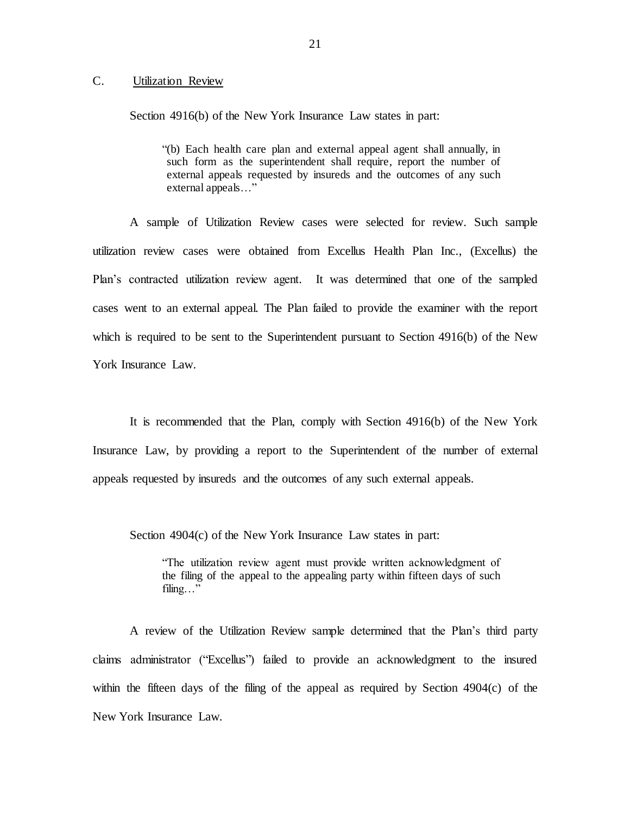### <span id="page-22-0"></span> $C_{\cdot}$ Utilization Review

Section 4916(b) of the New York Insurance Law states in part:

 "(b) Each health care plan and external appeal agent shall annually, in such form as the superintendent shall require, report the number of external appeals requested by insureds and the outcomes of any such external appeals…"

 A sample of Utilization Review cases were selected for review. Such sample utilization review cases were obtained from Excellus Health Plan Inc., (Excellus) the Plan's contracted utilization review agent. It was determined that one of the sampled cases went to an external appeal. The Plan failed to provide the examiner with the report which is required to be sent to the Superintendent pursuant to Section 4916(b) of the New York Insurance Law.

 It is recommended that the Plan, comply with Section 4916(b) of the New York Insurance Law, by providing a report to the Superintendent of the number of external appeals requested by insureds and the outcomes of any such external appeals.

Section 4904(c) of the New York Insurance Law states in part:

 "The utilization review agent must provide written acknowledgment of the filing of the appeal to the appealing party within fifteen days of such filing…"

 A review of the Utilization Review sample determined that the Plan's third party claims administrator ("Excellus") failed to provide an acknowledgment to the insured within the fifteen days of the filing of the appeal as required by Section 4904(c) of the New York Insurance Law.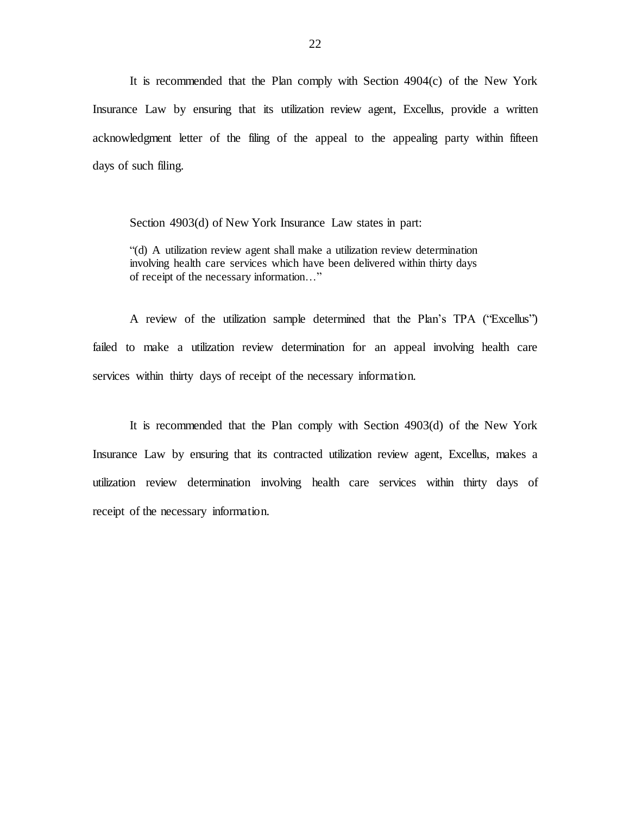It is recommended that the Plan comply with Section 4904(c) of the New York Insurance Law by ensuring that its utilization review agent, Excellus, provide a written acknowledgment letter of the filing of the appeal to the appealing party within fifteen days of such filing.

Section 4903(d) of New York Insurance Law states in part:

 "(d) A utilization review agent shall make a utilization review determination involving health care services which have been delivered within thirty days of receipt of the necessary information…"

 A review of the utilization sample determined that the Plan's TPA ("Excellus") failed to make a utilization review determination for an appeal involving health care services within thirty days of receipt of the necessary information.

 It is recommended that the Plan comply with Section 4903(d) of the New York Insurance Law by ensuring that its contracted utilization review agent, Excellus, makes a utilization review determination involving health care services within thirty days of receipt of the necessary information.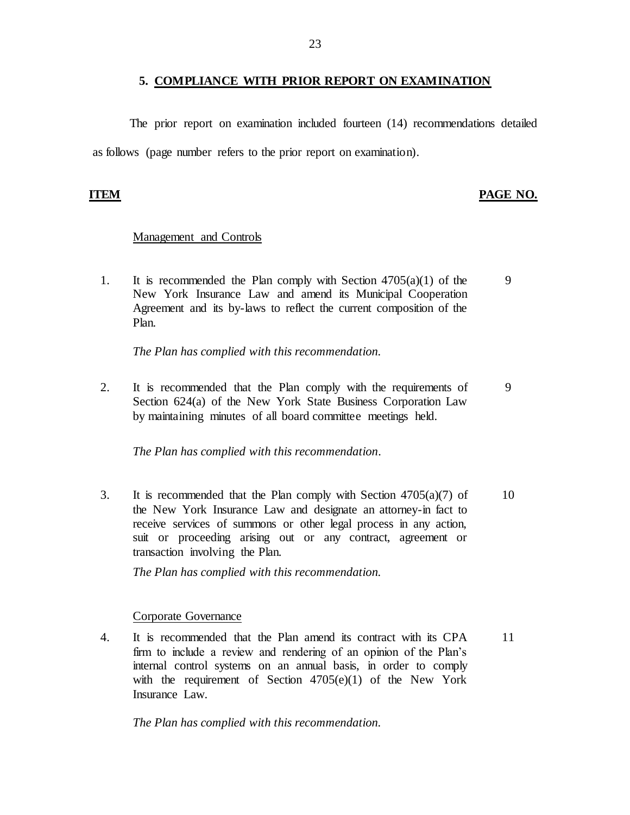### **5. COMPLIANCE WITH PRIOR REPORT ON EXAMINATION**

<span id="page-24-0"></span> as follows (page number refers to the prior report on examination). The prior report on examination included fourteen (14) recommendations detailed

### **ITEM PAGE NO.**

### Management and Controls

1. It is recommended the Plan comply with Section  $4705(a)(1)$  of the 9 New York Insurance Law and amend its Municipal Cooperation Agreement and its by-laws to reflect the current composition of the Plan.

*The Plan has complied with this recommendation.* 

2. It is recommended that the Plan comply with the requirements of 9 Section 624(a) of the New York State Business Corporation Law by maintaining minutes of all board committee meetings held.

*The Plan has complied with this recommendation.* 

3. It is recommended that the Plan comply with Section  $4705(a)(7)$  of 10 the New York Insurance Law and designate an attorney-in fact to receive services of summons or other legal process in any action, suit or proceeding arising out or any contract, agreement or transaction involving the Plan.

*The Plan has complied with this recommendation.* 

### Corporate Governance

 4. It is recommended that the Plan amend its contract with its CPA 11 firm to include a review and rendering of an opinion of the Plan's internal control systems on an annual basis, in order to comply with the requirement of Section 4705(e)(1) of the New York Insurance Law.

*The Plan has complied with this recommendation.*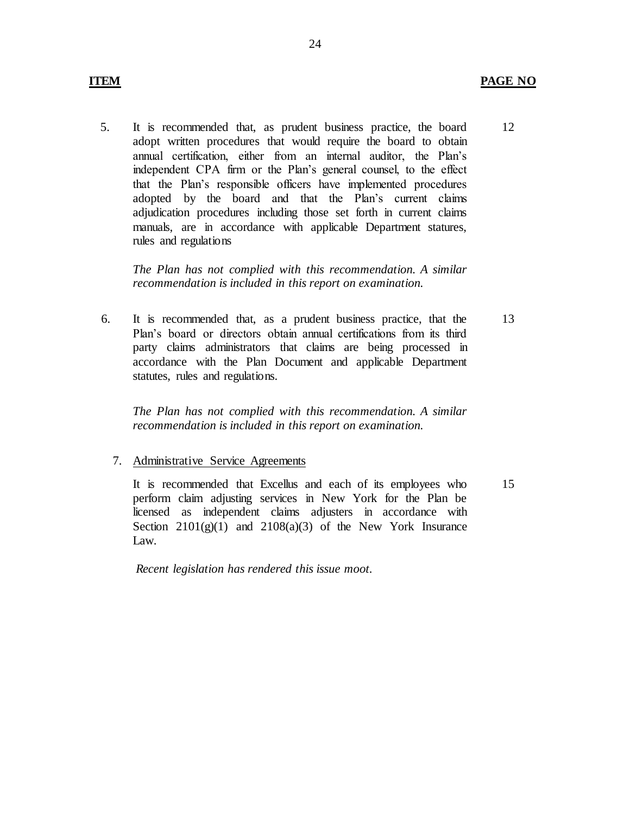### **ITEM PAGE NO**

12

 5. It is recommended that, as prudent business practice, the board adopt written procedures that would require the board to obtain annual certification, either from an internal auditor, the Plan's independent CPA firm or the Plan's general counsel, to the effect that the Plan's responsible officers have implemented procedures adopted by the board and that the Plan's current claims adjudication procedures including those set forth in current claims manuals, are in accordance with applicable Department statures, rules and regulations

 *The Plan has not complied with this recommendation. A similar recommendation is included in this report on examination.* 

 Plan's board or directors obtain annual certifications from its third party claims administrators that claims are being processed in accordance with the Plan Document and applicable Department 6. It is recommended that, as a prudent business practice, that the statutes, rules and regulations.

 *The Plan has not complied with this recommendation. A similar recommendation is included in this report on examination.* 

7. Administrative Service Agreements

 It is recommended that Excellus and each of its employees who perform claim adjusting services in New York for the Plan be licensed as independent claims adjusters in accordance with Section  $2101(g)(1)$  and  $2108(a)(3)$  of the New York Insurance Law.

*Recent legislation has rendered this issue moot.* 

13

15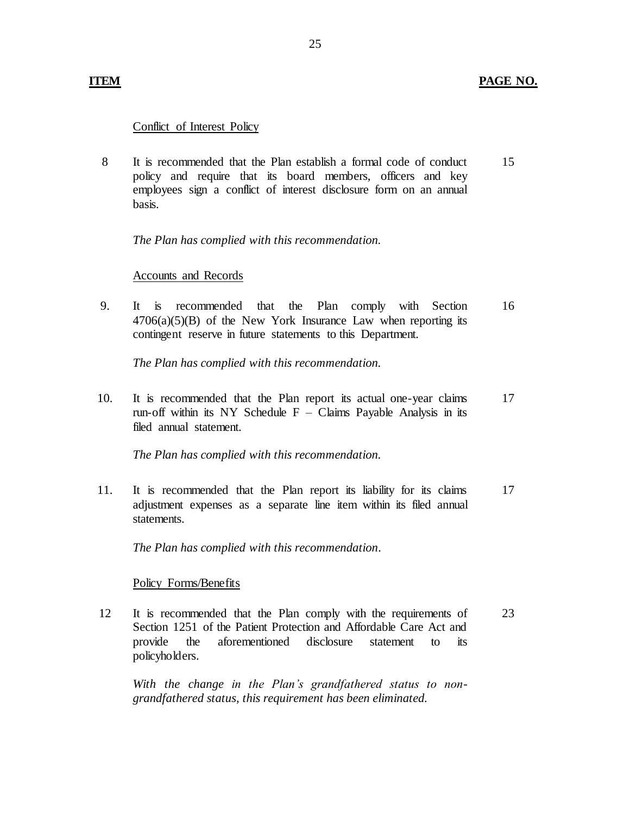## Conflict of Interest Policy

 8 It is recommended that the Plan establish a formal code of conduct 15 policy and require that its board members, officers and key employees sign a conflict of interest disclosure form on an annual basis.

*The Plan has complied with this recommendation.* 

### Accounts and Records

 $It$  $4706(a)(5)(B)$  of the New York Insurance Law when reporting its contingent reserve in future statements to this Department. 9. It is recommended that the Plan comply with Section 16

*The Plan has complied with this recommendation.* 

 10. It is recommended that the Plan report its actual one-year claims run-off within its NY Schedule  $F -$  Claims Payable Analysis in its filed annual statement. 17

*The Plan has complied with this recommendation.* 

 11. It is recommended that the Plan report its liability for its claims adjustment expenses as a separate line item within its filed annual statements. 17

*The Plan has complied with this recommendation.* 

### Policy Forms/Benefits

 12 It is recommended that the Plan comply with the requirements of 23 Section 1251 of the Patient Protection and Affordable Care Act and disclosure provide the aforementioned disclosure statement to its policyholders.

 *With the change in the Plan's grandfathered status to nongrandfathered status, this requirement has been eliminated.*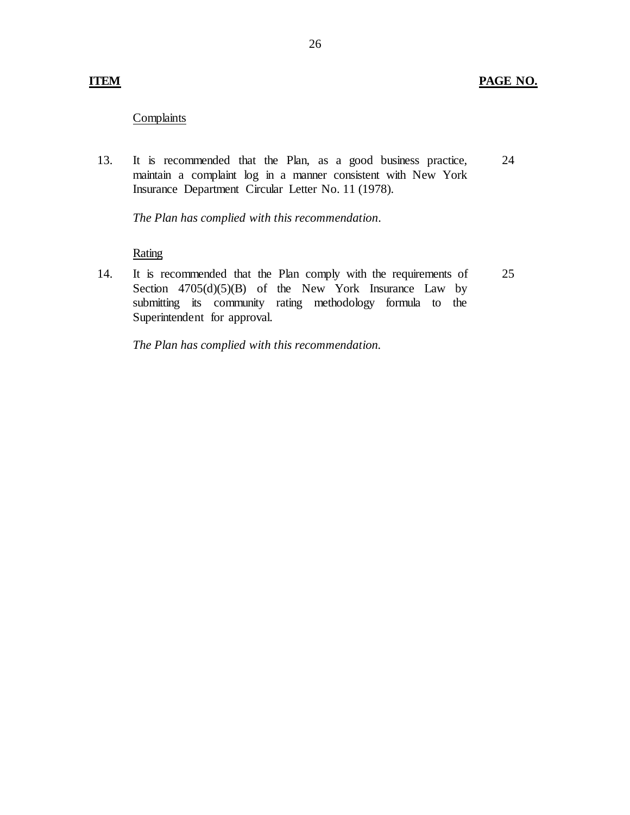### **Complaints**

13. It is recommended that the Plan, as a good business practice, maintain a complaint log in a manner consistent with New York Insurance Department Circular Letter No. 11 (1978). 24

*The Plan has complied with this recommendation.* 

### **Rating**

 14. It is recommended that the Plan comply with the requirements of Section  $4705(d)(5)(B)$  of the New York Insurance Law by submitting its community rating methodology formula to the Superintendent for approval. 25

*The Plan has complied with this recommendation.*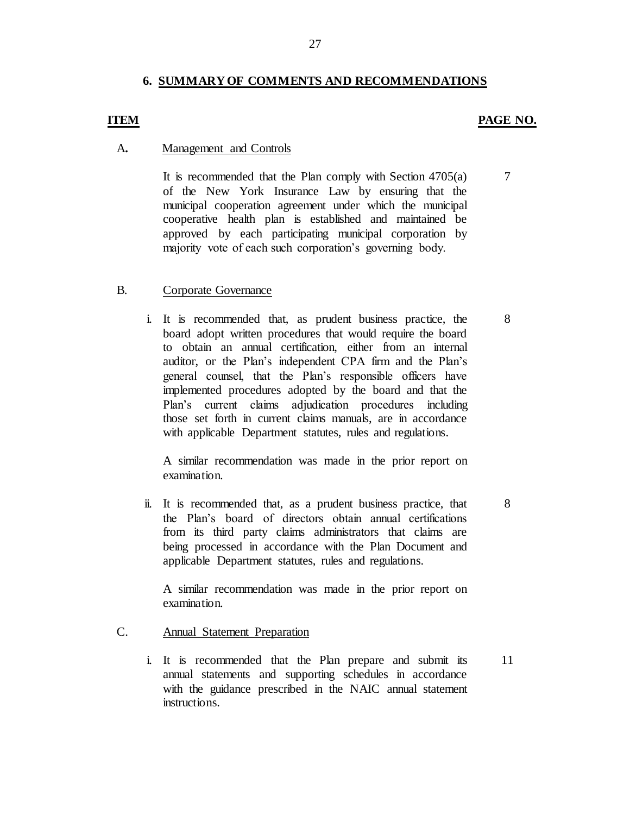## **6. SUMMARY OF COMMENTS AND RECOMMENDATIONS**

### **ITEM** PAGE NO.

7

8

8

11

### A**.** Management and Controls

 It is recommended that the Plan comply with Section 4705(a) of the New York Insurance Law by ensuring that the municipal cooperation agreement under which the municipal cooperative health plan is established and maintained be approved by each participating municipal corporation by majority vote of each such corporation's governing body.

### B. Corporate Governance

 i. It is recommended that, as prudent business practice, the board adopt written procedures that would require the board to obtain an annual certification, either from an internal auditor, or the Plan's independent CPA firm and the Plan's general counsel, that the Plan's responsible officers have implemented procedures adopted by the board and that the Plan's current claims adjudication procedures including those set forth in current claims manuals, are in accordance with applicable Department statutes, rules and regulations.

 A similar recommendation was made in the prior report on examination.

 ii. It is recommended that, as a prudent business practice, that the Plan's board of directors obtain annual certifications from its third party claims administrators that claims are being processed in accordance with the Plan Document and applicable Department statutes, rules and regulations.

 A similar recommendation was made in the prior report on examination.

- C. Annual Statement Preparation
	- i. It is recommended that the Plan prepare and submit its annual statements and supporting schedules in accordance with the guidance prescribed in the NAIC annual statement instructions.

27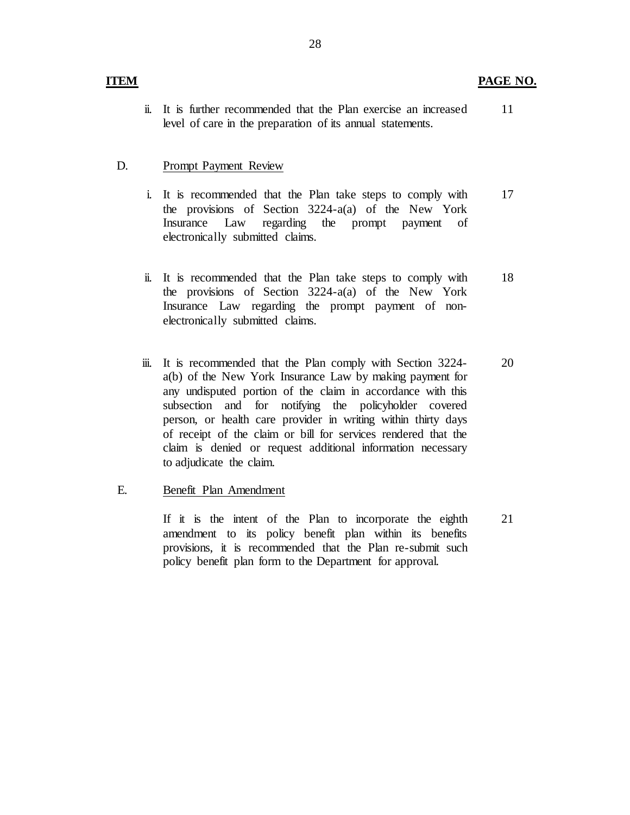ii. It is further recommended that the Plan exercise an increased level of care in the preparation of its annual statements. 11

## D. Prompt Payment Review

- i. It is recommended that the Plan take steps to comply with the provisions of Section 3224-a(a) of the New York Insurance Law regarding the prompt payment of electronically submitted claims. 17
- ii. It is recommended that the Plan take steps to comply with the provisions of Section 3224-a(a) of the New York Insurance Law regarding the prompt payment of nonelectronically submitted claims. 18
- iii. It is recommended that the Plan comply with Section 3224- a(b) of the New York Insurance Law by making payment for any undisputed portion of the claim in accordance with this person, or health care provider in writing within thirty days of receipt of the claim or bill for services rendered that the claim is denied or request additional information necessary to adjudicate the claim. subsection and for notifying the policyholder covered 20

## E. Benefit Plan Amendment

 If it is the intent of the Plan to incorporate the eighth amendment to its policy benefit plan within its benefits provisions, it is recommended that the Plan re-submit such policy benefit plan form to the Department for approval. 21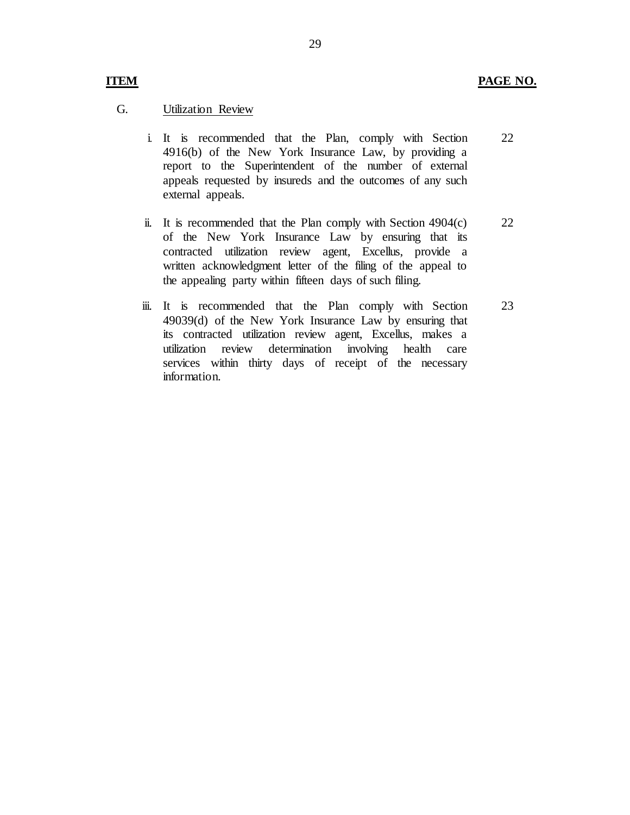### **ITEM PAGE NO.**

### G. Utilization Review

- i. It is recommended that the Plan, comply with Section 4916(b) of the New York Insurance Law, by providing a report to the Superintendent of the number of external appeals requested by insureds and the outcomes of any such external appeals. 22
- ii. It is recommended that the Plan comply with Section 4904(c) of the New York Insurance Law by ensuring that its contracted utilization review agent, Excellus, provide a written acknowledgment letter of the filing of the appeal to the appealing party within fifteen days of such filing. 22
- iii. It is recommended that the Plan comply with Section 49039(d) of the New York Insurance Law by ensuring that its contracted utilization review agent, Excellus, makes a utilization review services within thirty days of receipt of the necessary determination involving health care information. 23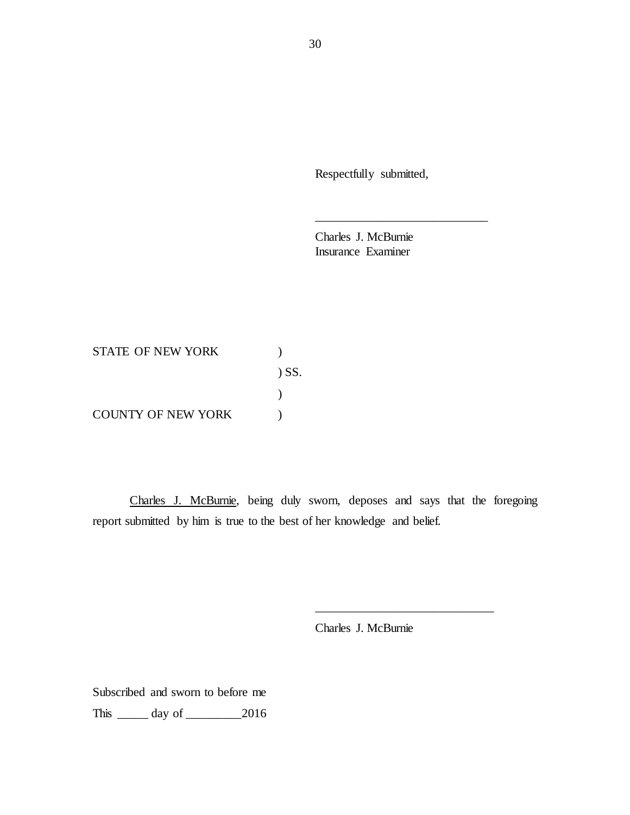Respectfully submitted,

\_\_\_\_\_\_\_\_\_\_\_\_\_\_\_\_\_\_\_\_\_\_\_\_\_\_\_\_

 Charles J. McBurnie Insurance Examiner

STATE OF NEW YORK (1998) COUNTY OF NEW YORK  $\qquad \qquad$  ) ) SS. )

Charles J. McBurnie, being duly sworn, deposes and says that the foregoing report submitted by him is true to the best of her knowledge and belief.

Charles J. McBurnie

\_\_\_\_\_\_\_\_\_\_\_\_\_\_\_\_\_\_\_\_\_\_\_\_\_\_\_\_\_

 Subscribed and sworn to before me This \_\_\_\_\_ day of \_\_\_\_\_\_\_\_\_2016